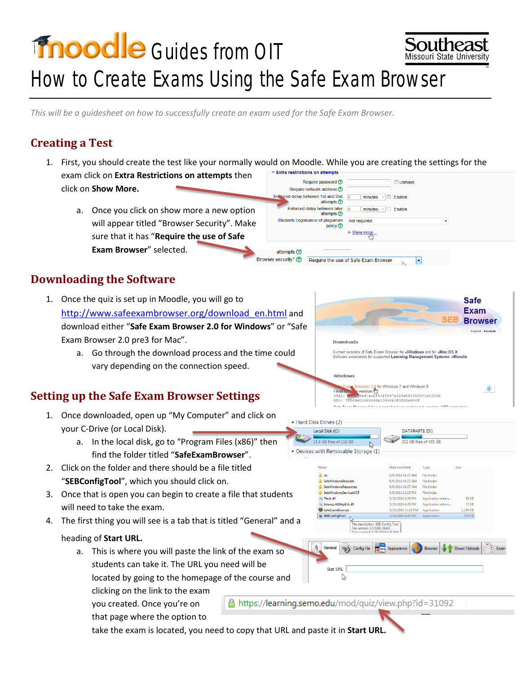# **Fnoodle** Guides from OIT Missouri State Universit How to Create Exams Using the Safe Exam Browser

*This will be a guidesheet on how to successfully create an exam used for the Safe Exam Browser.*

#### **Creating a Test**

1. First, you should create the test like your normally would on Moodle. While you are creating the settings for the Extra restrictions on attempts exam click on **Extra Restrictions on attempts** then Require password ? **Unmask** click on **Show More.**  Require network address ?

Enterced delay between 1st and 2nd  $\sqrt{0}$ 

Students cognisance of plagiarism

attempts (?) Browser security\* ?

Enforced delay between later<br>
attempts ©

attempts <sup>(2)</sup>

policy ?

a. Once you click on show more a new option will appear titled "Browser Security". Make sure that it has "**Require the use of Safe Exam Browser**" selected.

## **Downloading the Software**

- 1. Once the quiz is set up in Moodle, you will go to [http://www.safeexambrowser.org/download\\_en.html](http://www.safeexambrowser.org/download_en.html) and download either "**Safe Exam Browser 2.0 for Windows**" or "Safe Exam Browser 2.0 pre3 for Mac".
	- a. Go through the download process and the time could vary depending on the connection speed.

## **Setting up the Safe Exam Browser Settings**

- 1. Once downloaded, open up "My Computer" and click on your C-Drive (or Local Disk).
	- a. In the local disk, go to "Program Files (x86)" then find the folder titled "**SafeExamBrowser**".
- 2. Click on the folder and there should be a file titled "**SEBConfigTool**", which you should click on.
- 3. Once that is open you can begin to create a file that students will need to take the exam.
- 4. The first thing you will see is a tab that is titled "General" and

#### heading of **Start URL.**

a. This is where you will paste the link of the exam so students can take it. The URL you need will be

located by going to the homepage of the course and

clicking on the link to the exam

you created. Once you're on

that page where the option to

take the exam is located, you need to copy that URL and paste it in **Start URL.** 



 $\vert \textbf{r} \vert$ 

 $\overline{\phantom{a}}$  Enable

 $minutes \quad \blacksquare$  Enable

minutes

not required

 $+$  Show more

Require the use of Safe Exam Browser

SHA1:

A https://learning.semo.edu/mod/quiz/view.php?id=31092

| Hard Disk Drives (2)               |                      |                       |              |  |  |  |
|------------------------------------|----------------------|-----------------------|--------------|--|--|--|
| Local Disk (C:)                    |                      | DATAPART1 (D:)        |              |  |  |  |
| 15.9 GB free of 119 GB             |                      | 322 GB free of 465 GB |              |  |  |  |
| Devices with Removable Storage (1) |                      |                       |              |  |  |  |
|                                    |                      |                       |              |  |  |  |
| Name                               | <b>Date modified</b> | lype                  | Size         |  |  |  |
|                                    |                      |                       |              |  |  |  |
| de                                 | 6/9/2014 10:27 AM    | File folder           |              |  |  |  |
| SebWindowsBrowser                  | 6/9/2014 10:27 AM    | File folder           |              |  |  |  |
| <b>SebWindowsResources</b>         | 6/9/2014 10:27 AM    | File folder           |              |  |  |  |
| SebWindowsServiceWCF               | 6/9/2014 12:25 PM    | <b>File folder</b>    |              |  |  |  |
| <b>&amp;</b> Fleck.dll             | 5/28/2014 6:29 PM    | Application extens    | 36 KB        |  |  |  |
| MUApiLib.dll                       | 5/28/2014 6:29 PM    | Application extens    | <b>72 KB</b> |  |  |  |
| SafeExamBrowser                    | 5/28/2014 11:19 PM   | Application           | 1.199 KB     |  |  |  |

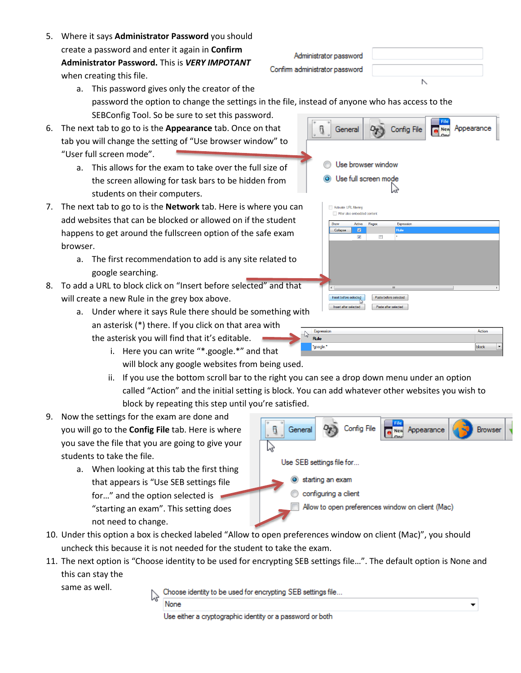**None** Use either a cryptographic identity or a password or both

Choose identity to be used for encrypting SEB settings file...

- 5. Where it says **Administrator Password** you should create a password and enter it again in **Confirm Administrator Password.** This is *VERY IMPOTANT* when creating this file.
	- $\overline{ }$ a. This password gives only the creator of the password the option to change the settings in the file, instead of anyone who has access to the SEBConfig Tool. So be sure to set this password.

Administrator password

General

Confirm administrator password

- 6. The next tab to go to is the **Appearance** tab. Once on that tab you will change the setting of "Use browser window" to "User full screen mode".
	- a. This allows for the exam to take over the full size of the screen allowing for task bars to be hidden from students on their computers.
- 7. The next tab to go to is the **Network** tab. Here is where you can add websites that can be blocked or allowed on if the student happens to get around the fullscreen option of the safe exam browser.
	- a. The first recommendation to add is any site related to google searching.
- 8. To add a URL to block click on "Insert before selected" and that will create a new Rule in the grey box above.
	- a. Under where it says Rule there should be something with an asterisk (\*) there. If you click on that area with the asterisk you will find that it's editable.
		- i. Here you can write "\*.google.\*" and that will block any google websites from being used.
		- ii. If you use the bottom scroll bar to the right you can see a drop down menu under an option called "Action" and the initial setting is block. You can add whatever other websites you wish to block by repeating this step until you're satisfied.
- 9. Now the settings for the exam are done and you will go to the **Config File** tab. Here is where you save the file that you are going to give your students to take the file.
	- a. When looking at this tab the first thing that appears is "Use SEB settings file for…" and the option selected is "starting an exam". This setting does not need to change.
- 8 ペ Use SEB settings file for... Starting an exam configuring a client Allow to open preferences window on client (Mac)

10. Under this option a box is checked labeled "Allow to open preferences window on client (Mac)", you should uncheck this because it is not needed for the student to take the exam.

11. The next option is "Choose identity to be used for encrypting SEB settings file…". The default option is None and this can stay the

same as well.

Expression Action **Rule** block



|                                               |                        | Use browser window<br><b>O</b> Use full screen mode<br>Activate URL filtering<br>Filter also embedded content |                       |            |   |  |
|-----------------------------------------------|------------------------|---------------------------------------------------------------------------------------------------------------|-----------------------|------------|---|--|
|                                               | Show                   | Active                                                                                                        | Regex                 | Expression |   |  |
|                                               | Collapse               | $\overline{\mathbf{z}}$                                                                                       |                       | Rule       |   |  |
|                                               |                        | $\overline{v}$                                                                                                | П                     | ÷.         |   |  |
|                                               | ٠                      |                                                                                                               | Ш                     |            | k |  |
|                                               | Insert before selected |                                                                                                               | Paste before selected |            |   |  |
|                                               |                        |                                                                                                               |                       |            |   |  |
| Paste after selected<br>Insert after selected |                        |                                                                                                               |                       |            |   |  |

Confia Fik

Appearance